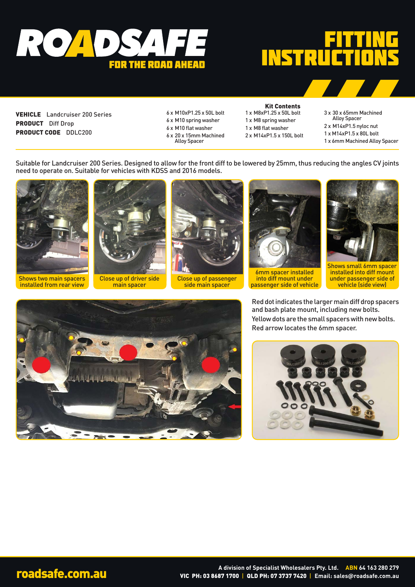

## FITTING INSTRUC

VEHICLE Landcruiser 200 Series PRODUCT Diff Drop PRODUCT CODE DDLC200

- 6 x M10xP1.25 x 50L bolt
- 6 x M10 spring washer
- 6 x M10 flat washer
- 6 x 20 x 15mm Machined Alloy Spacer

## Kit Contents 1 x M8xP1.25 x 50L bolt

1 x M8 spring washer 1 x M8 flat washer 2 x M14xP1.5 x 150L bolt

- 3 x 30 x 65mm Machined
- Alloy Spacer 2 x M14xP1.5 nyloc nut
- 1 x M14xP1.5 x 80L bolt
- 1 x 6mm Machined Alloy Spacer

Suitable for Landcruiser 200 Series. Designed to allow for the front diff to be lowered by 25mm, thus reducing the angles CV joints need to operate on. Suitable for vehicles with KDSS and 2016 models.



Shows two main spacers installed from rear view



Close up of driver side main spacer



Close up of passenger side main spacer



6mm spacer installed into diff mount under passenger side of vehicle



Shows small 6mm spacer installed into diff mount under passenger side of vehicle (side view)

Red dot indicates the larger main diff drop spacers and bash plate mount, including new bolts. Yellow dots are the small spacers with new bolts. Red arrow locates the 6mm spacer.